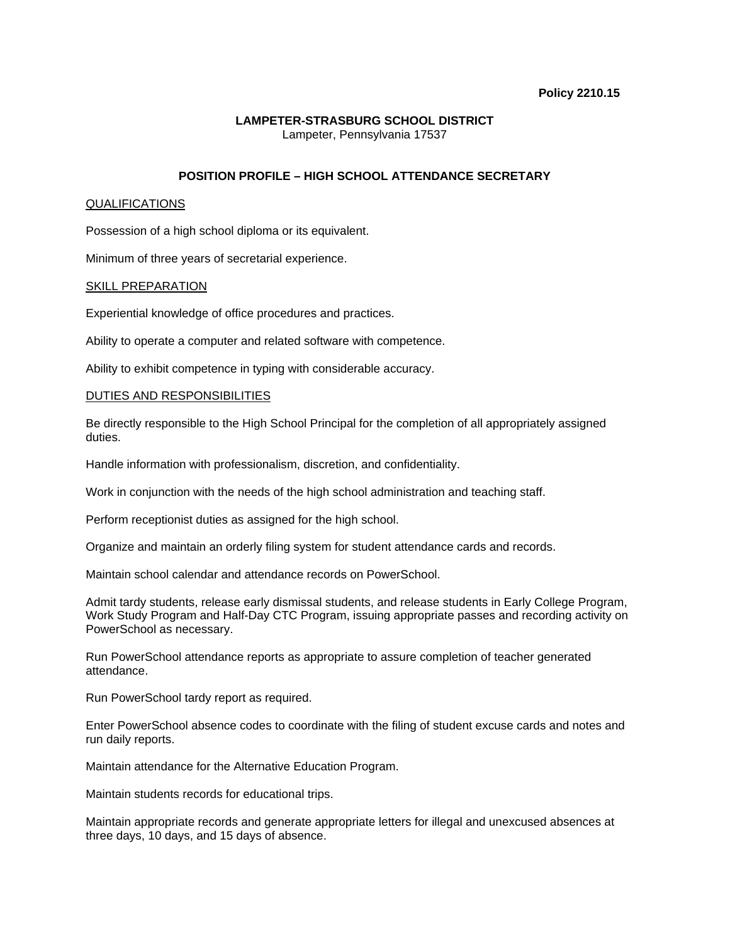### **Policy 2210.15**

## **LAMPETER-STRASBURG SCHOOL DISTRICT**  Lampeter, Pennsylvania 17537

# **POSITION PROFILE – HIGH SCHOOL ATTENDANCE SECRETARY**

## QUALIFICATIONS

Possession of a high school diploma or its equivalent.

Minimum of three years of secretarial experience.

### SKILL PREPARATION

Experiential knowledge of office procedures and practices.

Ability to operate a computer and related software with competence.

Ability to exhibit competence in typing with considerable accuracy.

## DUTIES AND RESPONSIBILITIES

Be directly responsible to the High School Principal for the completion of all appropriately assigned duties.

Handle information with professionalism, discretion, and confidentiality.

Work in conjunction with the needs of the high school administration and teaching staff.

Perform receptionist duties as assigned for the high school.

Organize and maintain an orderly filing system for student attendance cards and records.

Maintain school calendar and attendance records on PowerSchool.

Admit tardy students, release early dismissal students, and release students in Early College Program, Work Study Program and Half-Day CTC Program, issuing appropriate passes and recording activity on PowerSchool as necessary.

Run PowerSchool attendance reports as appropriate to assure completion of teacher generated attendance.

Run PowerSchool tardy report as required.

Enter PowerSchool absence codes to coordinate with the filing of student excuse cards and notes and run daily reports.

Maintain attendance for the Alternative Education Program.

Maintain students records for educational trips.

Maintain appropriate records and generate appropriate letters for illegal and unexcused absences at three days, 10 days, and 15 days of absence.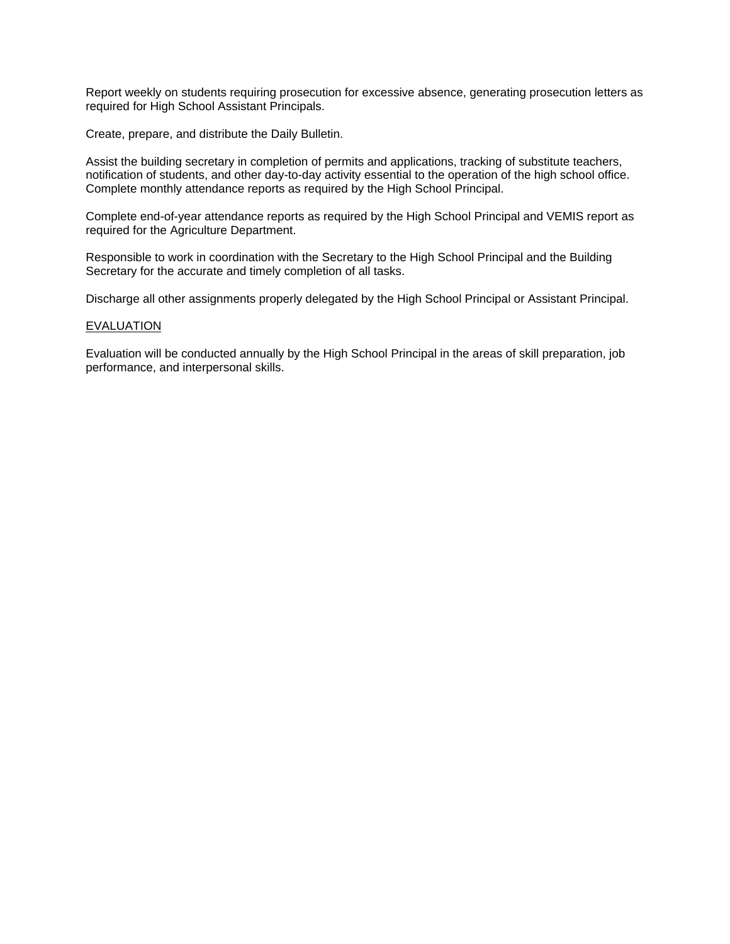Report weekly on students requiring prosecution for excessive absence, generating prosecution letters as required for High School Assistant Principals.

Create, prepare, and distribute the Daily Bulletin.

Assist the building secretary in completion of permits and applications, tracking of substitute teachers, notification of students, and other day-to-day activity essential to the operation of the high school office. Complete monthly attendance reports as required by the High School Principal.

Complete end-of-year attendance reports as required by the High School Principal and VEMIS report as required for the Agriculture Department.

Responsible to work in coordination with the Secretary to the High School Principal and the Building Secretary for the accurate and timely completion of all tasks.

Discharge all other assignments properly delegated by the High School Principal or Assistant Principal.

### EVALUATION

Evaluation will be conducted annually by the High School Principal in the areas of skill preparation, job performance, and interpersonal skills.